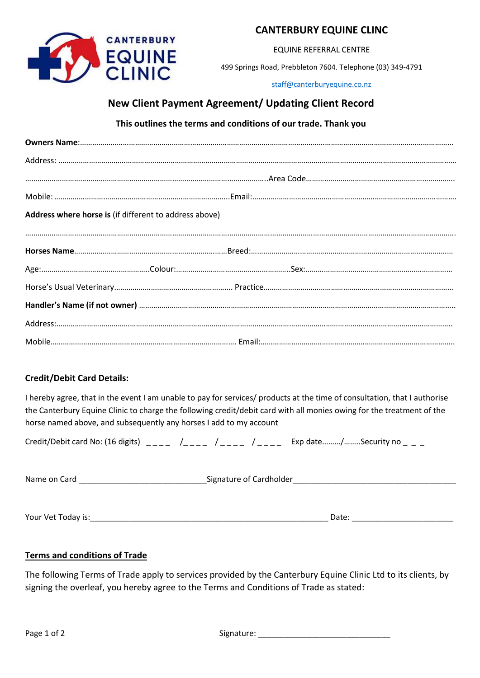

## **CANTERBURY EQUINE CLINC**

EQUINE REFERRAL CENTRE

499 Springs Road, Prebbleton 7604. Telephone (03) 349-4791

[staff@canterburyequine.co.nz](mailto:staff@canterburyequine.co.nz)

# **New Client Payment Agreement/ Updating Client Record**

### **This outlines the terms and conditions of our trade. Thank you**

| Address where horse is (if different to address above) |  |  |  |  |  |
|--------------------------------------------------------|--|--|--|--|--|
|                                                        |  |  |  |  |  |
|                                                        |  |  |  |  |  |
|                                                        |  |  |  |  |  |
|                                                        |  |  |  |  |  |
|                                                        |  |  |  |  |  |
|                                                        |  |  |  |  |  |
|                                                        |  |  |  |  |  |

#### **Credit/Debit Card Details:**

I hereby agree, that in the event I am unable to pay for services/ products at the time of consultation, that I authorise the Canterbury Equine Clinic to charge the following credit/debit card with all monies owing for the treatment of the horse named above, and subsequently any horses I add to my account

|  | Credit/Debit card No: (16 digits) $\frac{1}{2}$ $\frac{1}{2}$ $\frac{1}{2}$ $\frac{1}{2}$ $\frac{1}{2}$ $\frac{1}{2}$ $\frac{1}{2}$ $\frac{1}{2}$ $\frac{1}{2}$ $\frac{1}{2}$ $\frac{1}{2}$ $\frac{1}{2}$ $\frac{1}{2}$ $\frac{1}{2}$ $\frac{1}{2}$ $\frac{1}{2}$ $\frac{1}{2}$ $\frac{1}{2}$ $\frac{1}{2$ |
|--|------------------------------------------------------------------------------------------------------------------------------------------------------------------------------------------------------------------------------------------------------------------------------------------------------------|
|  |                                                                                                                                                                                                                                                                                                            |

| Name on Card | Signature of Cardholder |
|--------------|-------------------------|
|              |                         |

Your Vet Today is:\_\_\_\_\_\_\_\_\_\_\_\_\_\_\_\_\_\_\_\_\_\_\_\_\_\_\_\_\_\_\_\_\_\_\_\_\_\_\_\_\_\_\_\_\_\_\_\_\_\_\_\_\_\_ Date: \_\_\_\_\_\_\_\_\_\_\_\_\_\_\_\_\_\_\_\_\_\_\_

#### **Terms and conditions of Trade**

The following Terms of Trade apply to services provided by the Canterbury Equine Clinic Ltd to its clients, by signing the overleaf, you hereby agree to the Terms and Conditions of Trade as stated: